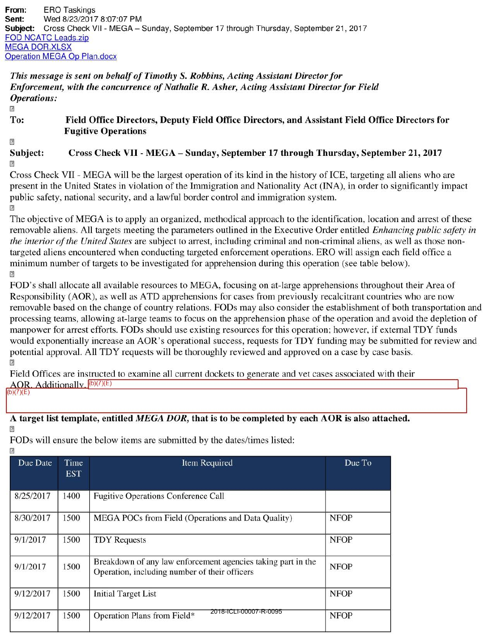From: ERO Taskings Sent: Wed 8/23/2017 8:07:07 PM Subject: Cross Check VII - MEGA - Sunday, September 17 through Thursday, September 21, 2017 **FOD NCATC Leads.zip** MEGA DOR.XLSX Operation MEGA Op Plan.docx

## *This message is sent on behalf of Timothy S. Robbins, Acting Assistant Director for Enforcement, with the concurrence of Nathalie R. Asher, A cting Assistant Director for Field Operations:*

 $\overline{R}$ 

## To: Field Office Directors, Deputy Field Office Directors, and Assistant Field Office Directors for Fugitive Operations

 $\overline{2}$ Subject:  $\sqrt{2}$ Cross Check VII - MEGA - Sunday, September 17 through Thursday, September 21, 2017

Cross Check VII - MEGA will be the largest operation of its kind in the history of ICE, targeting all aliens who are present in the United States in violation of the Immigration and Nationality Act (INA), in order to significantly impact public safety, national security, and a lawful border control and immigration system.  $\overline{1}$ 

The objective of MEGA is to apply an organized, methodical approach to the identification, location and arrest of these removable aliens. All targets meeting the parameters outlined in the Executive Order entitled *Enhancing public safety in the interior of the United States* are subject to arrest, including criminal and non-criminal aliens, as well as those nontargeted aliens encountered when conducting targeted enforcement operations. ERO will assign each field office a minimum number of targets to be investigated for apprehension during this operation (see table below).  $\overline{R}$ 

FOD's shall allocate all available resources to MEGA, focusing on at-large apprehensions throughout their Area of Responsibility (AOR), as well as ATD apprehensions for cases from previously recalcitrant countries who are now removable based on the change of country relations. FODs may also consider the establishment of both transportation and processing teams, allowing at-large teams to focus on the apprehension phase of the operation and avoid the depletion of manpower for arrest efforts. FODs should use existing resources for this operation; however, if external TDY funds would exponentially increase an AOR's operational success, requests for TDY funding may be submitted for review and potential approval. All TDY requests will be thoroughly reviewed and approved on a case by case basis.  $\overline{R}$ 

Field Offices are instructed to examine all current dockets to enerate and vet cases associated with their AOR. Additionally.  $(6)(7)(E)$  $b)(7)(E)$ 

## A target list template, entitled *MEGA DOR,* that is to be completed by each AOR is also attached.  $\overline{P}$

FODs will ensure the below items are submitted by the dates/times listed:

| Ľ         |                    |                                                                                                               |             |
|-----------|--------------------|---------------------------------------------------------------------------------------------------------------|-------------|
| Due Date  | Time<br><b>EST</b> | Item Required                                                                                                 | Due To      |
| 8/25/2017 | 1400               | <b>Fugitive Operations Conference Call</b>                                                                    |             |
| 8/30/2017 | 1500               | MEGA POCs from Field (Operations and Data Quality)                                                            | <b>NFOP</b> |
| 9/1/2017  | 1500               | <b>TDY Requests</b>                                                                                           | <b>NFOP</b> |
| 9/1/2017  | 1500               | Breakdown of any law enforcement agencies taking part in the<br>Operation, including number of their officers | <b>NFOP</b> |
| 9/12/2017 | 1500               | <b>Initial Target List</b>                                                                                    | <b>NFOP</b> |
| 9/12/2017 | 1500               | 2018-ICLI-00007-R-0095<br>Operation Plans from Field*                                                         | <b>NFOP</b> |